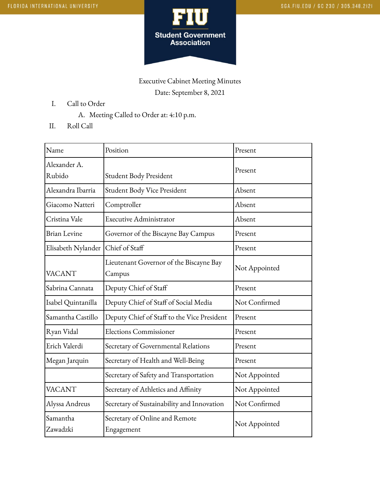

## Executive Cabinet Meeting Minutes Date: September 8, 2021

- I. Call to Order
	- A. Meeting Called to Order at: 4:10 p.m.
- II. Roll Call

| Name                   | Position                                          | Present       |
|------------------------|---------------------------------------------------|---------------|
| Alexander A.<br>Rubido | Student Body President                            | Present       |
| Alexandra Ibarria      | Student Body Vice President                       | Absent        |
| Giacomo Natteri        | Comptroller                                       | Absent        |
| Cristina Vale          | <b>Executive Administrator</b>                    | Absent        |
| <b>Brian Levine</b>    | Governor of the Biscayne Bay Campus               | Present       |
| Elisabeth Nylander     | Chief of Staff                                    | Present       |
| <b>VACANT</b>          | Lieutenant Governor of the Biscayne Bay<br>Campus | Not Appointed |
| Sabrina Cannata        | Deputy Chief of Staff                             | Present       |
| Isabel Quintanilla     | Deputy Chief of Staff of Social Media             | Not Confirmed |
| Samantha Castillo      | Deputy Chief of Staff to the Vice President       | Present       |
| Ryan Vidal             | <b>Elections Commissioner</b>                     | Present       |
| Erich Valerdi          | Secretary of Governmental Relations               | Present       |
| Megan Jarquin          | Secretary of Health and Well-Being                | Present       |
|                        | Secretary of Safety and Transportation            | Not Appointed |
| <b>VACANT</b>          | Secretary of Athletics and Affinity               | Not Appointed |
| Alyssa Andreus         | Secretary of Sustainability and Innovation        | Not Confirmed |
| Samantha<br>Zawadzki   | Secretary of Online and Remote<br>Engagement      | Not Appointed |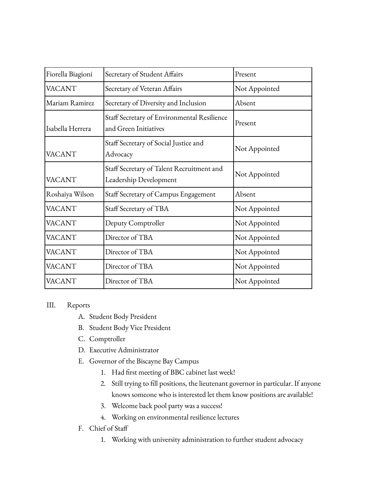| Fiorella Biagioni | Secretary of Student Affairs                                         | Present       |
|-------------------|----------------------------------------------------------------------|---------------|
| VACANT            | Secretary of Veteran Affairs                                         | Not Appointed |
| Mariam Ramirez    | Secretary of Diversity and Inclusion                                 | Absent        |
| Isabella Herrera  | Staff Secretary of Environmental Resilience<br>and Green Initiatives | Present       |
| VACANT            | Staff Secretary of Social Justice and<br>Advocacy                    | Not Appointed |
| VACANT            | Staff Secretary of Talent Recruitment and<br>Leadership Development  | Not Appointed |
| Roshaiya Wilson   | Staff Secretary of Campus Engagement                                 | Absent        |
| VACANT            | Staff Secretary of TBA                                               | Not Appointed |
| VACANT            | Deputy Comptroller                                                   | Not Appointed |
| VACANT            | Director of TBA                                                      | Not Appointed |
| VACANT            | Director of TBA                                                      | Not Appointed |
| VACANT            | Director of TBA                                                      | Not Appointed |
| VACANT            | Director of TBA                                                      | Not Appointed |

## III. Reports

- A. Student Body President
- B. Student Body Vice President
- C. Comptroller
- D. Executive Administrator
- E. Governor of the Biscayne Bay Campus
	- 1. Had first meeting of BBC cabinet last week!
	- 2. Still trying to fill positions, the lieutenant governor in particular. If anyone knows someone who is interested let them know positions are available!
	- 3. Welcome back pool party was a success!
	- 4. Working on environmental resilience lectures
- F. Chief of Staff
	- 1. Working with university administration to further student advocacy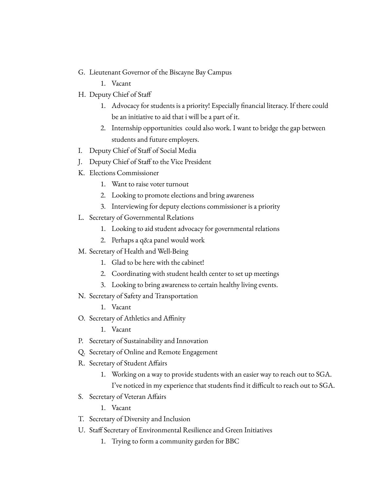- G. Lieutenant Governor of the Biscayne Bay Campus
	- 1. Vacant
- H. Deputy Chief of Staff
	- 1. Advocacy for students is a priority! Especially financial literacy. If there could be an initiative to aid that i will be a part of it.
	- 2. Internship opportunities could also work. I want to bridge the gap between students and future employers.
- I. Deputy Chief of Staff of Social Media
- J. Deputy Chief of Staff to the Vice President
- K. Elections Commissioner
	- 1. Want to raise voter turnout
	- 2. Looking to promote elections and bring awareness
	- 3. Interviewing for deputy elections commissioner is a priority
- L. Secretary of Governmental Relations
	- 1. Looking to aid student advocacy for governmental relations
	- 2. Perhaps a q&a panel would work
- M. Secretary of Health and Well-Being
	- 1. Glad to be here with the cabinet!
	- 2. Coordinating with student health center to set up meetings
	- 3. Looking to bring awareness to certain healthy living events.
- N. Secretary of Safety and Transportation
	- 1. Vacant
- O. Secretary of Athletics and Affinity
	- 1. Vacant
- P. Secretary of Sustainability and Innovation
- Q. Secretary of Online and Remote Engagement
- R. Secretary of Student Affairs
	- 1. Working on a way to provide students with an easier way to reach out to SGA. I've noticed in my experience that students find it difficult to reach out to SGA.
- S. Secretary of Veteran Affairs
	- 1. Vacant
- T. Secretary of Diversity and Inclusion
- U. Staff Secretary of Environmental Resilience and Green Initiatives
	- 1. Trying to form a community garden for BBC